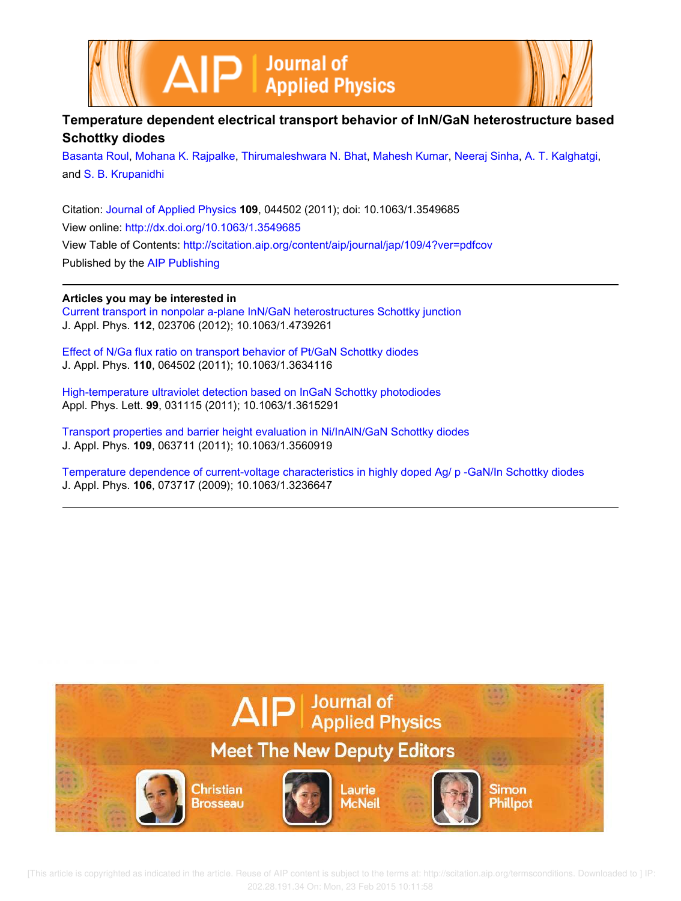



# **Temperature dependent electrical transport behavior of InN/GaN heterostructure based Schottky diodes**

Basanta Roul, Mohana K. Rajpalke, Thirumaleshwara N. Bhat, Mahesh Kumar, Neeraj Sinha, A. T. Kalghatgi, and S. B. Krupanidhi

Citation: Journal of Applied Physics **109**, 044502 (2011); doi: 10.1063/1.3549685 View online: http://dx.doi.org/10.1063/1.3549685 View Table of Contents: http://scitation.aip.org/content/aip/journal/jap/109/4?ver=pdfcov Published by the AIP Publishing

### **Articles you may be interested in**

Current transport in nonpolar a-plane InN/GaN heterostructures Schottky junction J. Appl. Phys. **112**, 023706 (2012); 10.1063/1.4739261

Effect of N/Ga flux ratio on transport behavior of Pt/GaN Schottky diodes J. Appl. Phys. **110**, 064502 (2011); 10.1063/1.3634116

High-temperature ultraviolet detection based on InGaN Schottky photodiodes Appl. Phys. Lett. **99**, 031115 (2011); 10.1063/1.3615291

Transport properties and barrier height evaluation in Ni/InAlN/GaN Schottky diodes J. Appl. Phys. **109**, 063711 (2011); 10.1063/1.3560919

Temperature dependence of current-voltage characteristics in highly doped Ag/ p -GaN/In Schottky diodes J. Appl. Phys. **106**, 073717 (2009); 10.1063/1.3236647



 [This article is copyrighted as indicated in the article. Reuse of AIP content is subject to the terms at: http://scitation.aip.org/termsconditions. Downloaded to ] IP: 202.28.191.34 On: Mon, 23 Feb 2015 10:11:58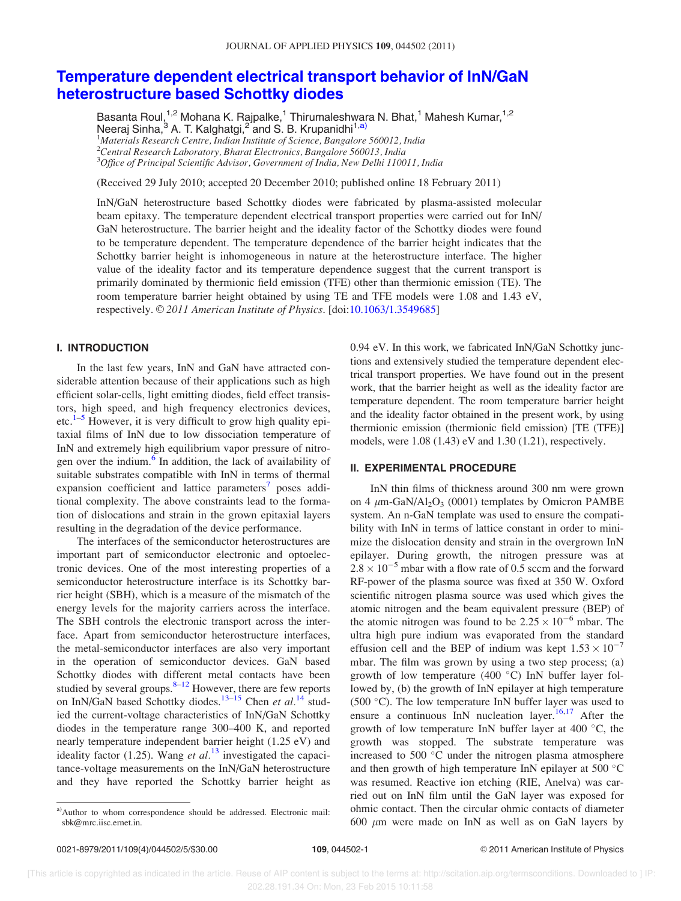## Temperature dependent electrical transport behavior of InN/GaN heterostructure based Schottky diodes

Basanta Roul,<sup>1,2</sup> Mohana K. Rajpalke,<sup>1</sup> Thirumaleshwara N. Bhat,<sup>1</sup> Mahesh Kumar,<sup>1,2</sup> Neeraj Sinha,<sup>3</sup> A. T. Kalghatgi,<sup>2"</sup>and S. B. Krupanidhi<sup>1,a)</sup> <sup>1</sup>Materials Research Centre, Indian Institute of Science, Bangalore 560012, India

 $^{2}$ Central Research Laboratory, Bharat Electronics, Bangalore 560013, India

 $3$ Office of Principal Scientific Advisor, Government of India, New Delhi 110011, India

(Received 29 July 2010; accepted 20 December 2010; published online 18 February 2011)

InN/GaN heterostructure based Schottky diodes were fabricated by plasma-assisted molecular beam epitaxy. The temperature dependent electrical transport properties were carried out for InN/ GaN heterostructure. The barrier height and the ideality factor of the Schottky diodes were found to be temperature dependent. The temperature dependence of the barrier height indicates that the Schottky barrier height is inhomogeneous in nature at the heterostructure interface. The higher value of the ideality factor and its temperature dependence suggest that the current transport is primarily dominated by thermionic field emission (TFE) other than thermionic emission (TE). The room temperature barrier height obtained by using TE and TFE models were 1.08 and 1.43 eV, respectively. © 2011 American Institute of Physics. [doi:10.1063/1.3549685]

#### I. INTRODUCTION

In the last few years, InN and GaN have attracted considerable attention because of their applications such as high efficient solar-cells, light emitting diodes, field effect transistors, high speed, and high frequency electronics devices, etc.<sup>1–5</sup> However, it is very difficult to grow high quality epitaxial films of InN due to low dissociation temperature of InN and extremely high equilibrium vapor pressure of nitrogen over the indium.<sup>6</sup> In addition, the lack of availability of suitable substrates compatible with InN in terms of thermal expansion coefficient and lattice parameters<sup>7</sup> poses additional complexity. The above constraints lead to the formation of dislocations and strain in the grown epitaxial layers resulting in the degradation of the device performance.

The interfaces of the semiconductor heterostructures are important part of semiconductor electronic and optoelectronic devices. One of the most interesting properties of a semiconductor heterostructure interface is its Schottky barrier height (SBH), which is a measure of the mismatch of the energy levels for the majority carriers across the interface. The SBH controls the electronic transport across the interface. Apart from semiconductor heterostructure interfaces, the metal-semiconductor interfaces are also very important in the operation of semiconductor devices. GaN based Schottky diodes with different metal contacts have been studied by several groups. $8-12$  However, there are few reports on InN/GaN based Schottky diodes.<sup>13–15</sup> Chen et al.<sup>14</sup> studied the current-voltage characteristics of InN/GaN Schottky diodes in the temperature range 300–400 K, and reported nearly temperature independent barrier height (1.25 eV) and ideality factor (1.25). Wang et  $al$ .<sup>13</sup> investigated the capacitance-voltage measurements on the InN/GaN heterostructure and they have reported the Schottky barrier height as

0.94 eV. In this work, we fabricated InN/GaN Schottky junctions and extensively studied the temperature dependent electrical transport properties. We have found out in the present work, that the barrier height as well as the ideality factor are temperature dependent. The room temperature barrier height and the ideality factor obtained in the present work, by using thermionic emission (thermionic field emission) [TE (TFE)] models, were 1.08 (1.43) eV and 1.30 (1.21), respectively.

#### II. EXPERIMENTAL PROCEDURE

InN thin films of thickness around 300 nm were grown on 4  $\mu$ m-GaN/Al<sub>2</sub>O<sub>3</sub> (0001) templates by Omicron PAMBE system. An n-GaN template was used to ensure the compatibility with InN in terms of lattice constant in order to minimize the dislocation density and strain in the overgrown InN epilayer. During growth, the nitrogen pressure was at  $2.8 \times 10^{-5}$  mbar with a flow rate of 0.5 sccm and the forward RF-power of the plasma source was fixed at 350 W. Oxford scientific nitrogen plasma source was used which gives the atomic nitrogen and the beam equivalent pressure (BEP) of the atomic nitrogen was found to be  $2.25 \times 10^{-6}$  mbar. The ultra high pure indium was evaporated from the standard effusion cell and the BEP of indium was kept  $1.53 \times 10^{-7}$ mbar. The film was grown by using a two step process; (a) growth of low temperature (400  $^{\circ}$ C) InN buffer layer followed by, (b) the growth of InN epilayer at high temperature (500 $\degree$ C). The low temperature InN buffer layer was used to ensure a continuous InN nucleation layer.<sup>16,17</sup> After the growth of low temperature InN buffer layer at 400  $^{\circ}$ C, the growth was stopped. The substrate temperature was increased to 500 $\degree$ C under the nitrogen plasma atmosphere and then growth of high temperature InN epilayer at 500  $^{\circ}$ C was resumed. Reactive ion etching (RIE, Anelva) was carried out on InN film until the GaN layer was exposed for ohmic contact. Then the circular ohmic contacts of diameter 600  $\mu$ m were made on InN as well as on GaN layers by

a)Author to whom correspondence should be addressed. Electronic mail: sbk@mrc.iisc.ernet.in.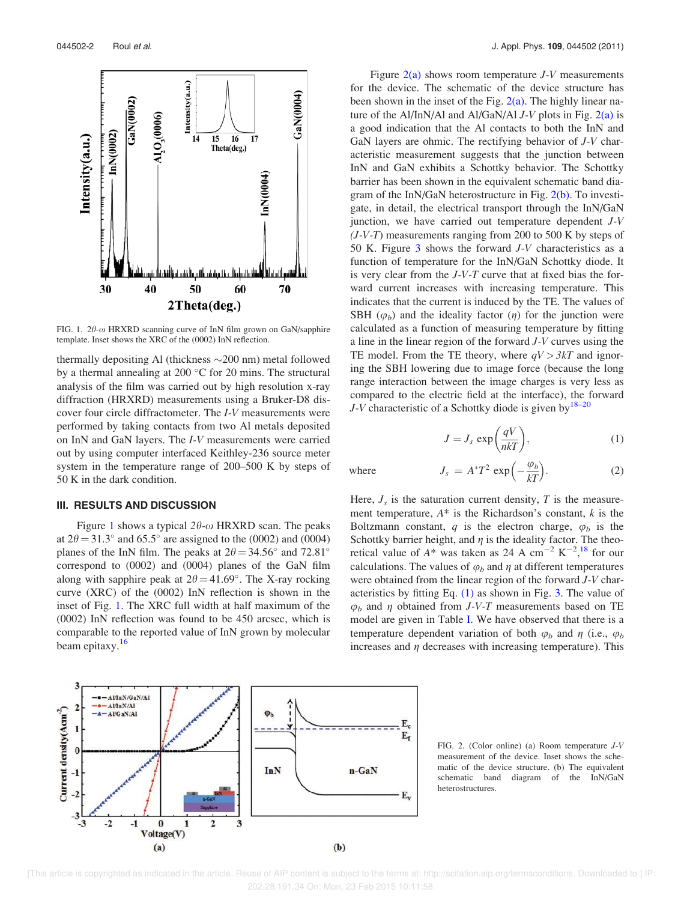

FIG. 1.  $2\theta$ - $\omega$  HRXRD scanning curve of InN film grown on GaN/sapphire template. Inset shows the XRC of the (0002) InN reflection.

thermally depositing Al (thickness  $\sim$  200 nm) metal followed by a thermal annealing at 200 $\degree$ C for 20 mins. The structural analysis of the film was carried out by high resolution x-ray diffraction (HRXRD) measurements using a Bruker-D8 discover four circle diffractometer. The I-V measurements were performed by taking contacts from two Al metals deposited on InN and GaN layers. The I-V measurements were carried out by using computer interfaced Keithley-236 source meter system in the temperature range of 200–500 K by steps of 50 K in the dark condition.

#### III. RESULTS AND DISCUSSION

Figure 1 shows a typical  $2\theta$ - $\omega$  HRXRD scan. The peaks at  $2\theta = 31.3^{\circ}$  and  $65.5^{\circ}$  are assigned to the (0002) and (0004) planes of the InN film. The peaks at  $2\theta = 34.56^{\circ}$  and  $72.81^{\circ}$ correspond to (0002) and (0004) planes of the GaN film along with sapphire peak at  $2\theta = 41.69^{\circ}$ . The X-ray rocking curve (XRC) of the (0002) InN reflection is shown in the inset of Fig. 1. The XRC full width at half maximum of the (0002) InN reflection was found to be 450 arcsec, which is comparable to the reported value of InN grown by molecular beam epitaxy.<sup>16</sup>

Figure  $2(a)$  shows room temperature J-V measurements for the device. The schematic of the device structure has been shown in the inset of the Fig.  $2(a)$ . The highly linear nature of the Al/InN/Al and Al/GaN/Al  $J-V$  plots in Fig. 2(a) is a good indication that the Al contacts to both the InN and GaN layers are ohmic. The rectifying behavior of  $J-V$  characteristic measurement suggests that the junction between InN and GaN exhibits a Schottky behavior. The Schottky barrier has been shown in the equivalent schematic band diagram of the InN/GaN heterostructure in Fig. 2(b). To investigate, in detail, the electrical transport through the InN/GaN junction, we have carried out temperature dependent J-V  $(J-V-T)$  measurements ranging from 200 to 500 K by steps of 50 K. Figure 3 shows the forward J-V characteristics as a function of temperature for the InN/GaN Schottky diode. It is very clear from the  $J-V-T$  curve that at fixed bias the forward current increases with increasing temperature. This indicates that the current is induced by the TE. The values of SBH  $(\varphi_b)$  and the ideality factor  $(\eta)$  for the junction were calculated as a function of measuring temperature by fitting a line in the linear region of the forward J-V curves using the TE model. From the TE theory, where  $qV > 3kT$  and ignoring the SBH lowering due to image force (because the long range interaction between the image charges is very less as compared to the electric field at the interface), the forward J-V characteristic of a Schottky diode is given by  $18-20$ 

$$
J = J_s \exp\left(\frac{qV}{nkT}\right),\tag{1}
$$

where

$$
J_s = A^* T^2 \exp\left(-\frac{\varphi_b}{kT}\right). \tag{2}
$$

Here,  $J_s$  is the saturation current density, T is the measurement temperature,  $A^*$  is the Richardson's constant,  $k$  is the Boltzmann constant, q is the electron charge,  $\varphi_b$  is the Schottky barrier height, and  $\eta$  is the ideality factor. The theoretical value of  $A^*$  was taken as 24 A cm<sup>-2</sup> K<sup>-2</sup>,<sup>18</sup> for our calculations. The values of  $\varphi_b$  and  $\eta$  at different temperatures were obtained from the linear region of the forward J-V characteristics by fitting Eq. (1) as shown in Fig. 3. The value of  $\varphi_b$  and  $\eta$  obtained from *J-V-T* measurements based on TE model are given in Table I. We have observed that there is a temperature dependent variation of both  $\varphi_b$  and  $\eta$  (i.e.,  $\varphi_b$ ) increases and  $\eta$  decreases with increasing temperature). This



FIG. 2. (Color online) (a) Room temperature J-V measurement of the device. Inset shows the schematic of the device structure. (b) The equivalent schematic band diagram of the InN/GaN heterostructures.

 [This article is copyrighted as indicated in the article. Reuse of AIP content is subject to the terms at: http://scitation.aip.org/termsconditions. Downloaded to ] IP: 202.28.191.34 On: Mon, 23 Feb 2015 10:11:58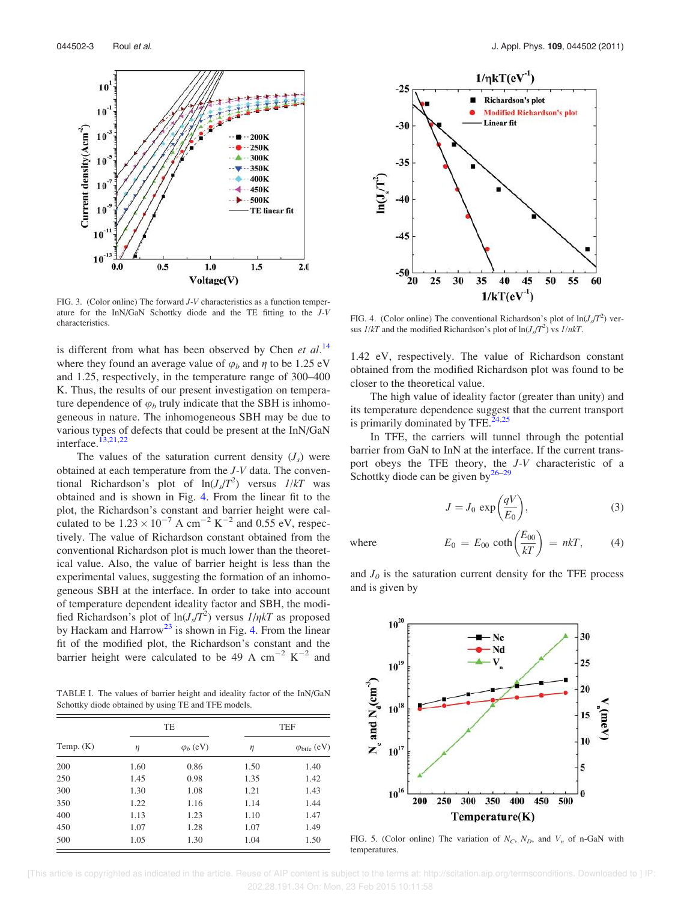

FIG. 3. (Color online) The forward J-V characteristics as a function temperature for the InN/GaN Schottky diode and the TE fitting to the J-V characteristics.

is different from what has been observed by Chen et  $al$ .<sup>14</sup> where they found an average value of  $\varphi_b$  and  $\eta$  to be 1.25 eV and 1.25, respectively, in the temperature range of 300–400 K. Thus, the results of our present investigation on temperature dependence of  $\varphi_b$  truly indicate that the SBH is inhomogeneous in nature. The inhomogeneous SBH may be due to various types of defects that could be present at the InN/GaN interface. $13,21,22$ 

The values of the saturation current density  $(J_s)$  were obtained at each temperature from the J-V data. The conventional Richardson's plot of  $ln(J_s/T^2)$  versus  $1/kT$  was obtained and is shown in Fig. 4. From the linear fit to the plot, the Richardson's constant and barrier height were calculated to be  $1.23 \times 10^{-7}$  A cm<sup>-2</sup> K<sup>-2</sup> and 0.55 eV, respectively. The value of Richardson constant obtained from the conventional Richardson plot is much lower than the theoretical value. Also, the value of barrier height is less than the experimental values, suggesting the formation of an inhomogeneous SBH at the interface. In order to take into account of temperature dependent ideality factor and SBH, the modified Richardson's plot of  $\ln(J_s/T^2)$  versus  $I/nkT$  as proposed by Hackam and Harrow<sup>23</sup> is shown in Fig. 4. From the linear fit of the modified plot, the Richardson's constant and the barrier height were calculated to be 49 A cm<sup>-2</sup>  $K^{-2}$  and

TABLE I. The values of barrier height and ideality factor of the InN/GaN Schottky diode obtained by using TE and TFE models.

|             | TE   |                  | <b>TEF</b> |                           |  |
|-------------|------|------------------|------------|---------------------------|--|
| Temp. $(K)$ | η    | $\varphi_b$ (eV) | η          | $\varphi_{\rm bife}$ (eV) |  |
| 200         | 1.60 | 0.86             | 1.50       | 1.40                      |  |
| 250         | 1.45 | 0.98             | 1.35       | 1.42                      |  |
| 300         | 1.30 | 1.08             | 1.21       | 1.43                      |  |
| 350         | 1.22 | 1.16             | 1.14       | 1.44                      |  |
| 400         | 1.13 | 1.23             | 1.10       | 1.47                      |  |
| 450         | 1.07 | 1.28             | 1.07       | 1.49                      |  |
| 500         | 1.05 | 1.30             | 1.04       | 1.50                      |  |



FIG. 4. (Color online) The conventional Richardson's plot of  $\ln(J_s/T^2)$  versus  $1/kT$  and the modified Richardson's plot of  $\ln(J_s/T^2)$  vs  $1/nkT$ .

1.42 eV, respectively. The value of Richardson constant obtained from the modified Richardson plot was found to be closer to the theoretical value.

The high value of ideality factor (greater than unity) and its temperature dependence suggest that the current transport is primarily dominated by TFE. $24,25$ 

In TFE, the carriers will tunnel through the potential barrier from GaN to InN at the interface. If the current transport obeys the TFE theory, the J-V characteristic of a Schottky diode can be given by $^{26-29}$ 

$$
J = J_0 \exp\left(\frac{qV}{E_0}\right),\tag{3}
$$

where  $E_0 = E_{00} \coth\left(\frac{E_{00}}{kT}\right) = nkT,$  (4)

and  $J_0$  is the saturation current density for the TFE process and is given by



FIG. 5. (Color online) The variation of  $N_C$ ,  $N_D$ , and  $V_n$  of n-GaN with temperatures.

 [This article is copyrighted as indicated in the article. Reuse of AIP content is subject to the terms at: http://scitation.aip.org/termsconditions. Downloaded to ] IP: 202.28.191.34 On: Mon, 23 Feb 2015 10:11:58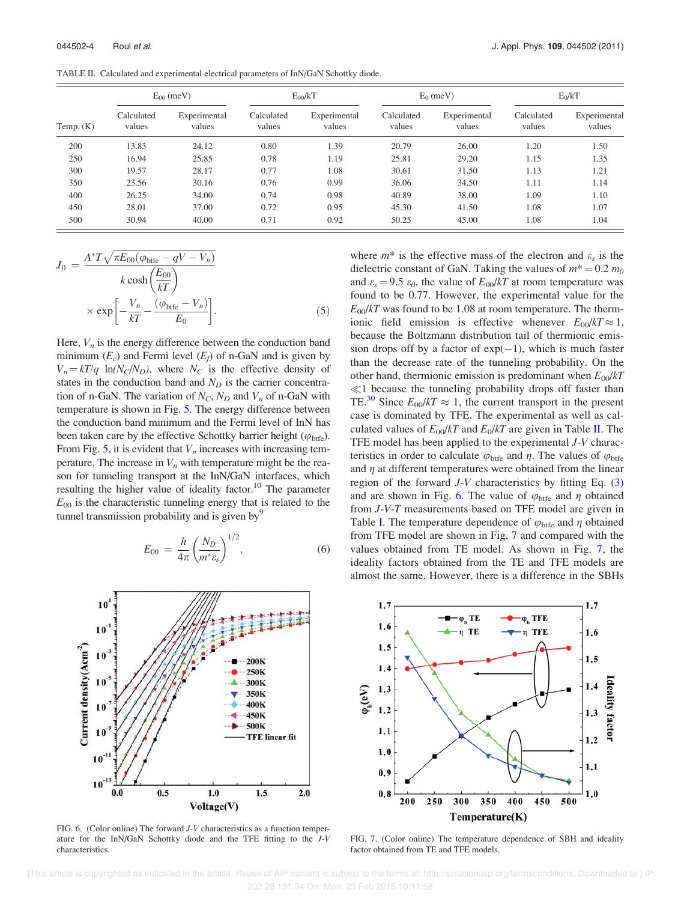| Temp. $(K)$ | $E_{00}$ (meV)       |                        | $E_{00}/kT$          |                        | $E_0$ (meV)          |                        | $E_0/kT$             |                        |
|-------------|----------------------|------------------------|----------------------|------------------------|----------------------|------------------------|----------------------|------------------------|
|             | Calculated<br>values | Experimental<br>values | Calculated<br>values | Experimental<br>values | Calculated<br>values | Experimental<br>values | Calculated<br>values | Experimental<br>values |
| 200         | 13.83                | 24.12                  | 0.80                 | 1.39                   | 20.79                | 26.00                  | 1.20                 | 1.50                   |
| 250         | 16.94                | 25.85                  | 0.78                 | 1.19                   | 25.81                | 29.20                  | 1.15                 | 1.35                   |
| 300         | 19.57                | 28.17                  | 0.77                 | 1.08                   | 30.61                | 31.50                  | 1.13                 | 1.21                   |
| 350         | 23.56                | 30.16                  | 0.76                 | 0.99                   | 36.06                | 34.50                  | 1.11                 | 1.14                   |
| 400         | 26.25                | 34.00                  | 0.74                 | 0.98                   | 40.89                | 38.00                  | 1.09                 | 1.10                   |
| 450         | 28.01                | 37.00                  | 0.72                 | 0.95                   | 45.30                | 41.50                  | 1.08                 | 1.07                   |
| 500         | 30.94                | 40.00                  | 0.71                 | 0.92                   | 50.25                | 45.00                  | 1.08                 | 1.04                   |

$$
J_0 = \frac{A^* T \sqrt{\pi E_{00} (\varphi_{\text{bife}} - qV - V_n)}}{k \cosh\left(\frac{E_{00}}{kT}\right)}
$$

$$
\times \exp\left[-\frac{V_n}{kT} - \frac{(\varphi_{\text{bife}} - V_n)}{E_0}\right].
$$
 (5)

Here,  $V_n$  is the energy difference between the conduction band minimum  $(E_c)$  and Fermi level  $(E_f)$  of n-GaN and is given by  $V_n = kT/q \ln(N_c/N_D)$ , where  $N_c$  is the effective density of states in the conduction band and  $N_D$  is the carrier concentration of n-GaN. The variation of  $N_C$ ,  $N_D$  and  $V_n$  of n-GaN with temperature is shown in Fig. 5. The energy difference between the conduction band minimum and the Fermi level of InN has been taken care by the effective Schottky barrier height ( $\varphi_{\text{btfe}}$ ). From Fig. 5, it is evident that  $V_n$  increases with increasing temperature. The increase in  $V_n$  with temperature might be the reason for tunneling transport at the InN/GaN interfaces, which resulting the higher value of ideality factor.<sup>10</sup> The parameter  $E_{00}$  is the characteristic tunneling energy that is related to the tunnel transmission probability and is given by  $\mathcal{S}$ 

$$
E_{00} = \frac{h}{4\pi} \left(\frac{N_D}{m^* \varepsilon_s}\right)^{1/2},
$$
 (6)



FIG. 6. (Color online) The forward J-V characteristics as a function temperature for the InN/GaN Schottky diode and the TFE fitting to the J-V characteristics.

where  $m^*$  is the effective mass of the electron and  $\varepsilon_s$  is the dielectric constant of GaN. Taking the values of  $m^* = 0.2 m_0$ and  $\varepsilon_s = 9.5 \varepsilon_0$ , the value of  $E_{00}/kT$  at room temperature was found to be 0.77. However, the experimental value for the  $E_{00}/kT$  was found to be 1.08 at room temperature. The thermionic field emission is effective whenever  $E_{00}/kT \approx 1$ , because the Boltzmann distribution tail of thermionic emission drops off by a factor of  $exp(-1)$ , which is much faster than the decrease rate of the tunneling probability. On the other hand, thermionic emission is predominant when  $E_{00}/kT$  $\ll$ 1 because the tunneling probability drops off faster than TE.<sup>30</sup> Since  $E_{00}/kT \approx 1$ , the current transport in the present case is dominated by TFE. The experimental as well as calculated values of  $E_{00}/kT$  and  $E_0/kT$  are given in Table II. The TFE model has been applied to the experimental J-V characteristics in order to calculate  $\varphi_{\text{bife}}$  and  $\eta$ . The values of  $\varphi_{\text{bife}}$ and  $\eta$  at different temperatures were obtained from the linear region of the forward  $J-V$  characteristics by fitting Eq.  $(3)$ and are shown in Fig. 6. The value of  $\varphi_{\text{bife}}$  and  $\eta$  obtained from J-V-T measurements based on TFE model are given in Table I. The temperature dependence of  $\varphi_{\text{bife}}$  and  $\eta$  obtained from TFE model are shown in Fig. 7 and compared with the values obtained from TE model. As shown in Fig. 7, the ideality factors obtained from the TE and TFE models are almost the same. However, there is a difference in the SBHs



FIG. 7. (Color online) The temperature dependence of SBH and ideality factor obtained from TE and TFE models.